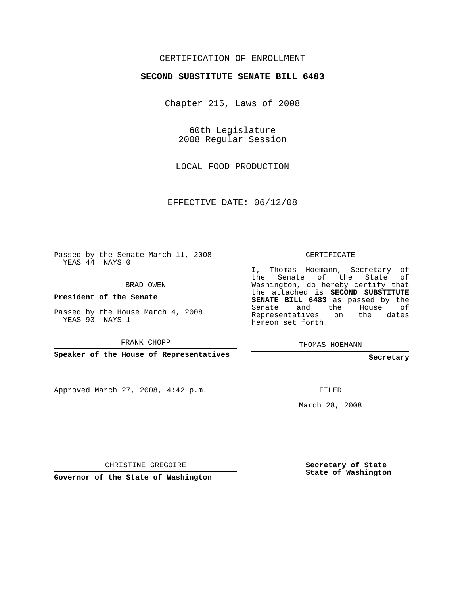# CERTIFICATION OF ENROLLMENT

#### **SECOND SUBSTITUTE SENATE BILL 6483**

Chapter 215, Laws of 2008

60th Legislature 2008 Regular Session

LOCAL FOOD PRODUCTION

EFFECTIVE DATE: 06/12/08

Passed by the Senate March 11, 2008 YEAS 44 NAYS 0

BRAD OWEN

**President of the Senate**

Passed by the House March 4, 2008 YEAS 93 NAYS 1

FRANK CHOPP

**Speaker of the House of Representatives**

Approved March 27, 2008, 4:42 p.m.

CERTIFICATE

I, Thomas Hoemann, Secretary of the Senate of the State of Washington, do hereby certify that the attached is **SECOND SUBSTITUTE SENATE BILL 6483** as passed by the Senate and the House of Representatives on the dates hereon set forth.

THOMAS HOEMANN

**Secretary**

FILED

March 28, 2008

CHRISTINE GREGOIRE

**Governor of the State of Washington**

**Secretary of State State of Washington**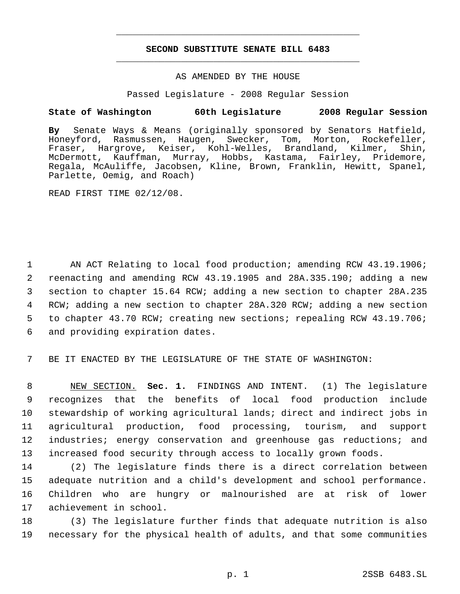# **SECOND SUBSTITUTE SENATE BILL 6483** \_\_\_\_\_\_\_\_\_\_\_\_\_\_\_\_\_\_\_\_\_\_\_\_\_\_\_\_\_\_\_\_\_\_\_\_\_\_\_\_\_\_\_\_\_

\_\_\_\_\_\_\_\_\_\_\_\_\_\_\_\_\_\_\_\_\_\_\_\_\_\_\_\_\_\_\_\_\_\_\_\_\_\_\_\_\_\_\_\_\_

### AS AMENDED BY THE HOUSE

Passed Legislature - 2008 Regular Session

# **State of Washington 60th Legislature 2008 Regular Session**

**By** Senate Ways & Means (originally sponsored by Senators Hatfield, Honeyford, Rasmussen, Haugen, Swecker, Tom, Morton, Rockefeller, Fraser, Hargrove, Keiser, Kohl-Welles, Brandland, Kilmer, Shin, McDermott, Kauffman, Murray, Hobbs, Kastama, Fairley, Pridemore, Regala, McAuliffe, Jacobsen, Kline, Brown, Franklin, Hewitt, Spanel, Parlette, Oemig, and Roach)

READ FIRST TIME 02/12/08.

 AN ACT Relating to local food production; amending RCW 43.19.1906; reenacting and amending RCW 43.19.1905 and 28A.335.190; adding a new section to chapter 15.64 RCW; adding a new section to chapter 28A.235 RCW; adding a new section to chapter 28A.320 RCW; adding a new section to chapter 43.70 RCW; creating new sections; repealing RCW 43.19.706; and providing expiration dates.

7 BE IT ENACTED BY THE LEGISLATURE OF THE STATE OF WASHINGTON:

 NEW SECTION. **Sec. 1.** FINDINGS AND INTENT. (1) The legislature recognizes that the benefits of local food production include stewardship of working agricultural lands; direct and indirect jobs in agricultural production, food processing, tourism, and support industries; energy conservation and greenhouse gas reductions; and increased food security through access to locally grown foods.

 (2) The legislature finds there is a direct correlation between adequate nutrition and a child's development and school performance. Children who are hungry or malnourished are at risk of lower achievement in school.

18 (3) The legislature further finds that adequate nutrition is also 19 necessary for the physical health of adults, and that some communities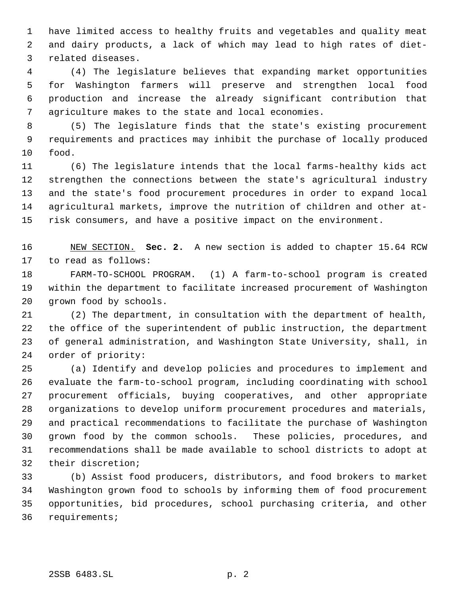have limited access to healthy fruits and vegetables and quality meat and dairy products, a lack of which may lead to high rates of diet- related diseases.

 (4) The legislature believes that expanding market opportunities for Washington farmers will preserve and strengthen local food production and increase the already significant contribution that agriculture makes to the state and local economies.

 (5) The legislature finds that the state's existing procurement requirements and practices may inhibit the purchase of locally produced food.

 (6) The legislature intends that the local farms-healthy kids act strengthen the connections between the state's agricultural industry and the state's food procurement procedures in order to expand local agricultural markets, improve the nutrition of children and other at-risk consumers, and have a positive impact on the environment.

 NEW SECTION. **Sec. 2.** A new section is added to chapter 15.64 RCW to read as follows:

 FARM-TO-SCHOOL PROGRAM. (1) A farm-to-school program is created within the department to facilitate increased procurement of Washington grown food by schools.

 (2) The department, in consultation with the department of health, the office of the superintendent of public instruction, the department of general administration, and Washington State University, shall, in order of priority:

 (a) Identify and develop policies and procedures to implement and evaluate the farm-to-school program, including coordinating with school procurement officials, buying cooperatives, and other appropriate organizations to develop uniform procurement procedures and materials, and practical recommendations to facilitate the purchase of Washington grown food by the common schools. These policies, procedures, and recommendations shall be made available to school districts to adopt at their discretion;

 (b) Assist food producers, distributors, and food brokers to market Washington grown food to schools by informing them of food procurement opportunities, bid procedures, school purchasing criteria, and other requirements;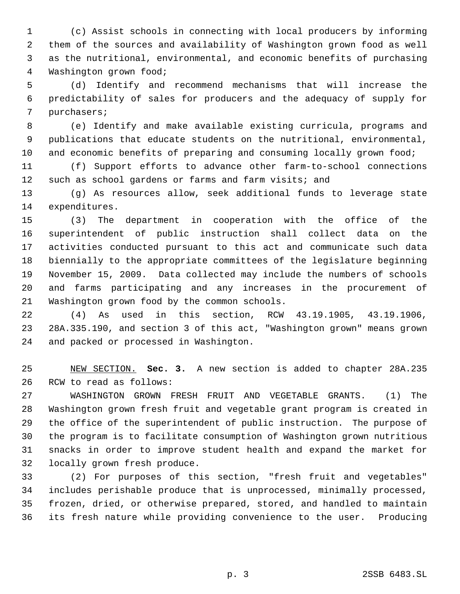(c) Assist schools in connecting with local producers by informing them of the sources and availability of Washington grown food as well as the nutritional, environmental, and economic benefits of purchasing Washington grown food;

 (d) Identify and recommend mechanisms that will increase the predictability of sales for producers and the adequacy of supply for purchasers;

 (e) Identify and make available existing curricula, programs and publications that educate students on the nutritional, environmental, 10 and economic benefits of preparing and consuming locally grown food;

 (f) Support efforts to advance other farm-to-school connections 12 such as school gardens or farms and farm visits; and

 (g) As resources allow, seek additional funds to leverage state expenditures.

 (3) The department in cooperation with the office of the superintendent of public instruction shall collect data on the activities conducted pursuant to this act and communicate such data biennially to the appropriate committees of the legislature beginning November 15, 2009. Data collected may include the numbers of schools and farms participating and any increases in the procurement of Washington grown food by the common schools.

 (4) As used in this section, RCW 43.19.1905, 43.19.1906, 28A.335.190, and section 3 of this act, "Washington grown" means grown and packed or processed in Washington.

 NEW SECTION. **Sec. 3.** A new section is added to chapter 28A.235 RCW to read as follows:

 WASHINGTON GROWN FRESH FRUIT AND VEGETABLE GRANTS. (1) The Washington grown fresh fruit and vegetable grant program is created in the office of the superintendent of public instruction. The purpose of the program is to facilitate consumption of Washington grown nutritious snacks in order to improve student health and expand the market for locally grown fresh produce.

 (2) For purposes of this section, "fresh fruit and vegetables" includes perishable produce that is unprocessed, minimally processed, frozen, dried, or otherwise prepared, stored, and handled to maintain its fresh nature while providing convenience to the user. Producing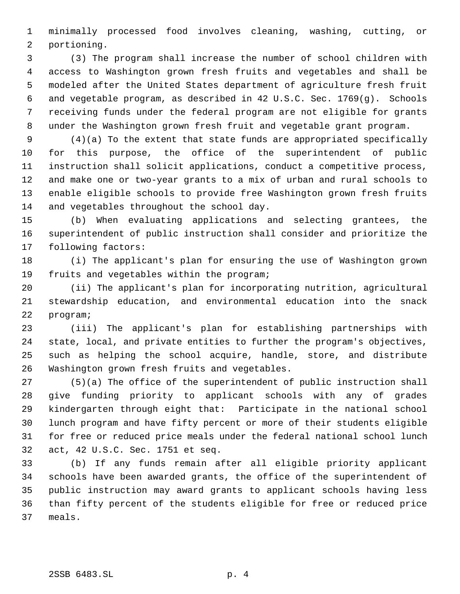minimally processed food involves cleaning, washing, cutting, or portioning.

 (3) The program shall increase the number of school children with access to Washington grown fresh fruits and vegetables and shall be modeled after the United States department of agriculture fresh fruit and vegetable program, as described in 42 U.S.C. Sec. 1769(g). Schools receiving funds under the federal program are not eligible for grants under the Washington grown fresh fruit and vegetable grant program.

 (4)(a) To the extent that state funds are appropriated specifically for this purpose, the office of the superintendent of public instruction shall solicit applications, conduct a competitive process, and make one or two-year grants to a mix of urban and rural schools to enable eligible schools to provide free Washington grown fresh fruits 14 and vegetables throughout the school day.

 (b) When evaluating applications and selecting grantees, the superintendent of public instruction shall consider and prioritize the following factors:

 (i) The applicant's plan for ensuring the use of Washington grown fruits and vegetables within the program;

 (ii) The applicant's plan for incorporating nutrition, agricultural stewardship education, and environmental education into the snack program;

 (iii) The applicant's plan for establishing partnerships with state, local, and private entities to further the program's objectives, such as helping the school acquire, handle, store, and distribute Washington grown fresh fruits and vegetables.

 (5)(a) The office of the superintendent of public instruction shall give funding priority to applicant schools with any of grades kindergarten through eight that: Participate in the national school lunch program and have fifty percent or more of their students eligible for free or reduced price meals under the federal national school lunch act, 42 U.S.C. Sec. 1751 et seq.

 (b) If any funds remain after all eligible priority applicant schools have been awarded grants, the office of the superintendent of public instruction may award grants to applicant schools having less than fifty percent of the students eligible for free or reduced price meals.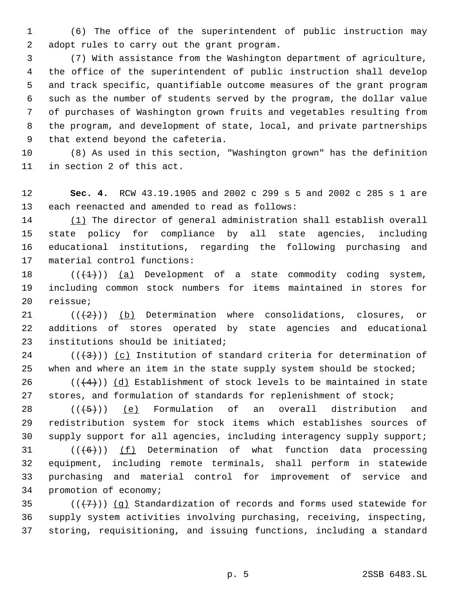(6) The office of the superintendent of public instruction may adopt rules to carry out the grant program.

 (7) With assistance from the Washington department of agriculture, the office of the superintendent of public instruction shall develop and track specific, quantifiable outcome measures of the grant program such as the number of students served by the program, the dollar value of purchases of Washington grown fruits and vegetables resulting from the program, and development of state, local, and private partnerships that extend beyond the cafeteria.

 (8) As used in this section, "Washington grown" has the definition in section 2 of this act.

 **Sec. 4.** RCW 43.19.1905 and 2002 c 299 s 5 and 2002 c 285 s 1 are each reenacted and amended to read as follows:

 (1) The director of general administration shall establish overall state policy for compliance by all state agencies, including educational institutions, regarding the following purchasing and material control functions:

18  $((+1))$   $(a)$  Development of a state commodity coding system, including common stock numbers for items maintained in stores for reissue;

21  $((+2))$  (b) Determination where consolidations, closures, or additions of stores operated by state agencies and educational institutions should be initiated;

24  $((+3))$  (c) Institution of standard criteria for determination of 25 when and where an item in the state supply system should be stocked;

26 ( $(\frac{4}{4})$ ) (d) Establishment of stock levels to be maintained in state 27 stores, and formulation of standards for replenishment of stock;

 $((+5))$  (e) Formulation of an overall distribution and redistribution system for stock items which establishes sources of supply support for all agencies, including interagency supply support;

 $((6))$  (f) Determination of what function data processing equipment, including remote terminals, shall perform in statewide purchasing and material control for improvement of service and promotion of economy;

35  $((+7)$ ) (q) Standardization of records and forms used statewide for supply system activities involving purchasing, receiving, inspecting, storing, requisitioning, and issuing functions, including a standard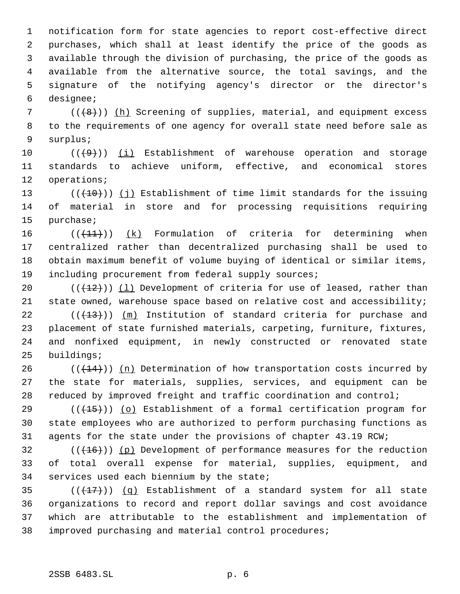notification form for state agencies to report cost-effective direct purchases, which shall at least identify the price of the goods as available through the division of purchasing, the price of the goods as available from the alternative source, the total savings, and the signature of the notifying agency's director or the director's designee;

 ( $(\langle 48 \rangle)$ ) (h) Screening of supplies, material, and equipment excess to the requirements of one agency for overall state need before sale as surplus;

 $((+9))$  (i) Establishment of warehouse operation and storage standards to achieve uniform, effective, and economical stores operations;

13  $((+10))$  (j) Establishment of time limit standards for the issuing of material in store and for processing requisitions requiring purchase;

 $((+1)^2)$  (k) Formulation of criteria for determining when centralized rather than decentralized purchasing shall be used to obtain maximum benefit of volume buying of identical or similar items, 19 including procurement from federal supply sources;

20  $((+12))$   $(1)$  Development of criteria for use of leased, rather than state owned, warehouse space based on relative cost and accessibility;

 (( $(13)$ )) (m) Institution of standard criteria for purchase and placement of state furnished materials, carpeting, furniture, fixtures, and nonfixed equipment, in newly constructed or renovated state buildings;

26  $((+14))$  (n) Determination of how transportation costs incurred by the state for materials, supplies, services, and equipment can be reduced by improved freight and traffic coordination and control;

29 ( $(\overline{+15})$ ) (o) Establishment of a formal certification program for state employees who are authorized to perform purchasing functions as agents for the state under the provisions of chapter 43.19 RCW;

 (( $(16)$ )) (p) Development of performance measures for the reduction of total overall expense for material, supplies, equipment, and services used each biennium by the state;

 $((+17))$   $(q)$  Establishment of a standard system for all state organizations to record and report dollar savings and cost avoidance which are attributable to the establishment and implementation of improved purchasing and material control procedures;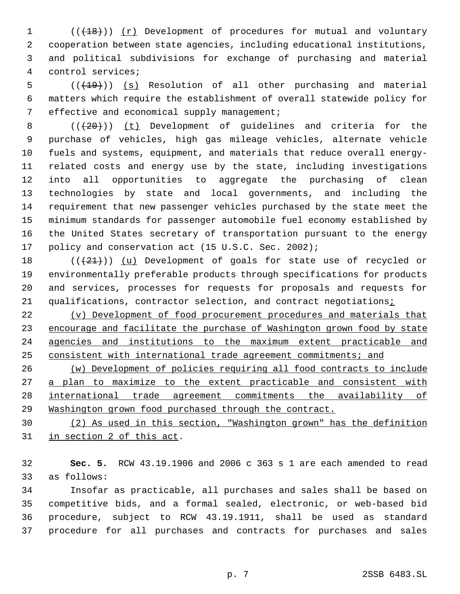1 (( $\left(\frac{18}{18}\right)$ ) (r) Development of procedures for mutual and voluntary cooperation between state agencies, including educational institutions, and political subdivisions for exchange of purchasing and material control services;

5 (( $(19)$ )) (s) Resolution of all other purchasing and material matters which require the establishment of overall statewide policy for 7 effective and economical supply management;

 $((+20))$  (t) Development of guidelines and criteria for the purchase of vehicles, high gas mileage vehicles, alternate vehicle fuels and systems, equipment, and materials that reduce overall energy- related costs and energy use by the state, including investigations into all opportunities to aggregate the purchasing of clean technologies by state and local governments, and including the requirement that new passenger vehicles purchased by the state meet the minimum standards for passenger automobile fuel economy established by the United States secretary of transportation pursuant to the energy 17 policy and conservation act (15 U.S.C. Sec. 2002);

 $((+21))$  (u) Development of goals for state use of recycled or environmentally preferable products through specifications for products and services, processes for requests for proposals and requests for 21 qualifications, contractor selection, and contract negotiations<sub>i</sub>

 (v) Development of food procurement procedures and materials that 23 encourage and facilitate the purchase of Washington grown food by state agencies and institutions to the maximum extent practicable and consistent with international trade agreement commitments; and

 (w) Development of policies requiring all food contracts to include 27 a plan to maximize to the extent practicable and consistent with international trade agreement commitments the availability of Washington grown food purchased through the contract.

 (2) As used in this section, "Washington grown" has the definition in section 2 of this act.

 **Sec. 5.** RCW 43.19.1906 and 2006 c 363 s 1 are each amended to read as follows:

 Insofar as practicable, all purchases and sales shall be based on competitive bids, and a formal sealed, electronic, or web-based bid procedure, subject to RCW 43.19.1911, shall be used as standard procedure for all purchases and contracts for purchases and sales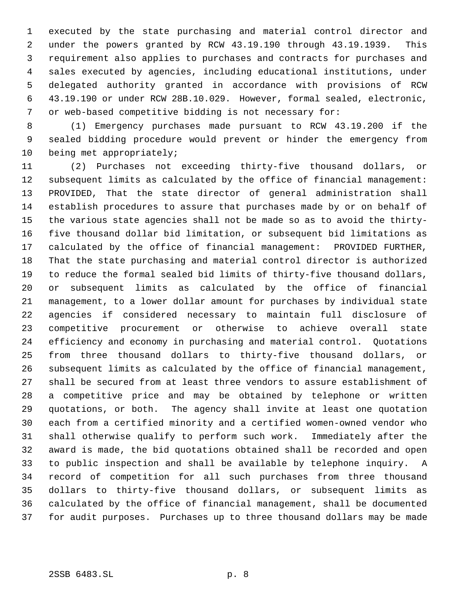executed by the state purchasing and material control director and under the powers granted by RCW 43.19.190 through 43.19.1939. This requirement also applies to purchases and contracts for purchases and sales executed by agencies, including educational institutions, under delegated authority granted in accordance with provisions of RCW 43.19.190 or under RCW 28B.10.029. However, formal sealed, electronic, or web-based competitive bidding is not necessary for:

 (1) Emergency purchases made pursuant to RCW 43.19.200 if the sealed bidding procedure would prevent or hinder the emergency from being met appropriately;

 (2) Purchases not exceeding thirty-five thousand dollars, or subsequent limits as calculated by the office of financial management: PROVIDED, That the state director of general administration shall establish procedures to assure that purchases made by or on behalf of the various state agencies shall not be made so as to avoid the thirty- five thousand dollar bid limitation, or subsequent bid limitations as calculated by the office of financial management: PROVIDED FURTHER, That the state purchasing and material control director is authorized to reduce the formal sealed bid limits of thirty-five thousand dollars, or subsequent limits as calculated by the office of financial management, to a lower dollar amount for purchases by individual state agencies if considered necessary to maintain full disclosure of competitive procurement or otherwise to achieve overall state efficiency and economy in purchasing and material control. Quotations from three thousand dollars to thirty-five thousand dollars, or subsequent limits as calculated by the office of financial management, shall be secured from at least three vendors to assure establishment of a competitive price and may be obtained by telephone or written quotations, or both. The agency shall invite at least one quotation each from a certified minority and a certified women-owned vendor who shall otherwise qualify to perform such work. Immediately after the award is made, the bid quotations obtained shall be recorded and open to public inspection and shall be available by telephone inquiry. A record of competition for all such purchases from three thousand dollars to thirty-five thousand dollars, or subsequent limits as calculated by the office of financial management, shall be documented for audit purposes. Purchases up to three thousand dollars may be made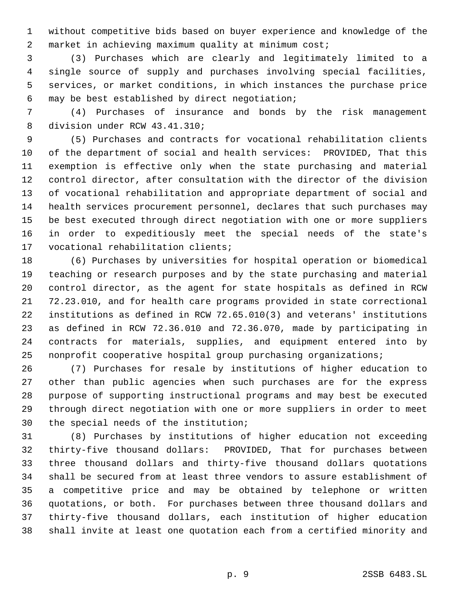without competitive bids based on buyer experience and knowledge of the market in achieving maximum quality at minimum cost;

 (3) Purchases which are clearly and legitimately limited to a single source of supply and purchases involving special facilities, services, or market conditions, in which instances the purchase price may be best established by direct negotiation;

 (4) Purchases of insurance and bonds by the risk management division under RCW 43.41.310;

 (5) Purchases and contracts for vocational rehabilitation clients of the department of social and health services: PROVIDED, That this exemption is effective only when the state purchasing and material control director, after consultation with the director of the division of vocational rehabilitation and appropriate department of social and health services procurement personnel, declares that such purchases may be best executed through direct negotiation with one or more suppliers in order to expeditiously meet the special needs of the state's vocational rehabilitation clients;

 (6) Purchases by universities for hospital operation or biomedical teaching or research purposes and by the state purchasing and material control director, as the agent for state hospitals as defined in RCW 72.23.010, and for health care programs provided in state correctional institutions as defined in RCW 72.65.010(3) and veterans' institutions as defined in RCW 72.36.010 and 72.36.070, made by participating in contracts for materials, supplies, and equipment entered into by nonprofit cooperative hospital group purchasing organizations;

 (7) Purchases for resale by institutions of higher education to other than public agencies when such purchases are for the express purpose of supporting instructional programs and may best be executed through direct negotiation with one or more suppliers in order to meet the special needs of the institution;

 (8) Purchases by institutions of higher education not exceeding thirty-five thousand dollars: PROVIDED, That for purchases between three thousand dollars and thirty-five thousand dollars quotations shall be secured from at least three vendors to assure establishment of a competitive price and may be obtained by telephone or written quotations, or both. For purchases between three thousand dollars and thirty-five thousand dollars, each institution of higher education shall invite at least one quotation each from a certified minority and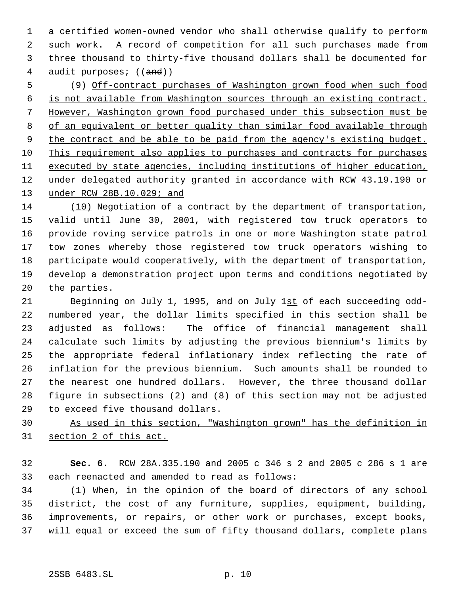a certified women-owned vendor who shall otherwise qualify to perform such work. A record of competition for all such purchases made from three thousand to thirty-five thousand dollars shall be documented for 4 audit purposes; ((and))

 (9) Off-contract purchases of Washington grown food when such food is not available from Washington sources through an existing contract. However, Washington grown food purchased under this subsection must be 8 of an equivalent or better quality than similar food available through 9 the contract and be able to be paid from the agency's existing budget. This requirement also applies to purchases and contracts for purchases 11 executed by state agencies, including institutions of higher education, under delegated authority granted in accordance with RCW 43.19.190 or 13 under RCW 28B.10.029; and

 (10) Negotiation of a contract by the department of transportation, valid until June 30, 2001, with registered tow truck operators to provide roving service patrols in one or more Washington state patrol tow zones whereby those registered tow truck operators wishing to participate would cooperatively, with the department of transportation, develop a demonstration project upon terms and conditions negotiated by the parties.

 Beginning on July 1, 1995, and on July 1st of each succeeding odd- numbered year, the dollar limits specified in this section shall be adjusted as follows: The office of financial management shall calculate such limits by adjusting the previous biennium's limits by the appropriate federal inflationary index reflecting the rate of inflation for the previous biennium. Such amounts shall be rounded to the nearest one hundred dollars. However, the three thousand dollar figure in subsections (2) and (8) of this section may not be adjusted to exceed five thousand dollars.

 As used in this section, "Washington grown" has the definition in section 2 of this act.

 **Sec. 6.** RCW 28A.335.190 and 2005 c 346 s 2 and 2005 c 286 s 1 are each reenacted and amended to read as follows:

 (1) When, in the opinion of the board of directors of any school district, the cost of any furniture, supplies, equipment, building, improvements, or repairs, or other work or purchases, except books, will equal or exceed the sum of fifty thousand dollars, complete plans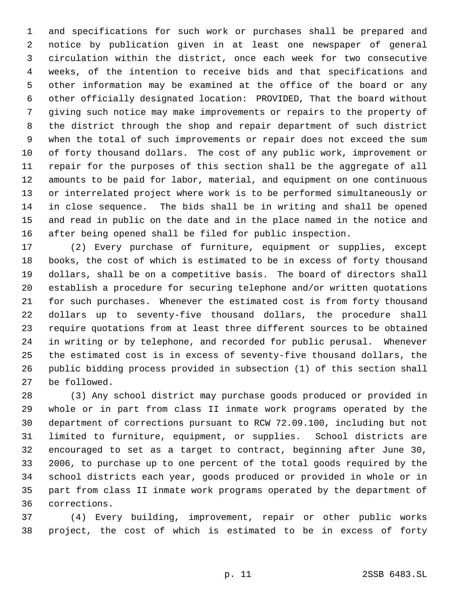and specifications for such work or purchases shall be prepared and notice by publication given in at least one newspaper of general circulation within the district, once each week for two consecutive weeks, of the intention to receive bids and that specifications and other information may be examined at the office of the board or any other officially designated location: PROVIDED, That the board without giving such notice may make improvements or repairs to the property of the district through the shop and repair department of such district when the total of such improvements or repair does not exceed the sum of forty thousand dollars. The cost of any public work, improvement or repair for the purposes of this section shall be the aggregate of all amounts to be paid for labor, material, and equipment on one continuous or interrelated project where work is to be performed simultaneously or in close sequence. The bids shall be in writing and shall be opened and read in public on the date and in the place named in the notice and after being opened shall be filed for public inspection.

 (2) Every purchase of furniture, equipment or supplies, except books, the cost of which is estimated to be in excess of forty thousand dollars, shall be on a competitive basis. The board of directors shall establish a procedure for securing telephone and/or written quotations for such purchases. Whenever the estimated cost is from forty thousand dollars up to seventy-five thousand dollars, the procedure shall require quotations from at least three different sources to be obtained in writing or by telephone, and recorded for public perusal. Whenever the estimated cost is in excess of seventy-five thousand dollars, the public bidding process provided in subsection (1) of this section shall be followed.

 (3) Any school district may purchase goods produced or provided in whole or in part from class II inmate work programs operated by the department of corrections pursuant to RCW 72.09.100, including but not limited to furniture, equipment, or supplies. School districts are encouraged to set as a target to contract, beginning after June 30, 2006, to purchase up to one percent of the total goods required by the school districts each year, goods produced or provided in whole or in part from class II inmate work programs operated by the department of corrections.

 (4) Every building, improvement, repair or other public works project, the cost of which is estimated to be in excess of forty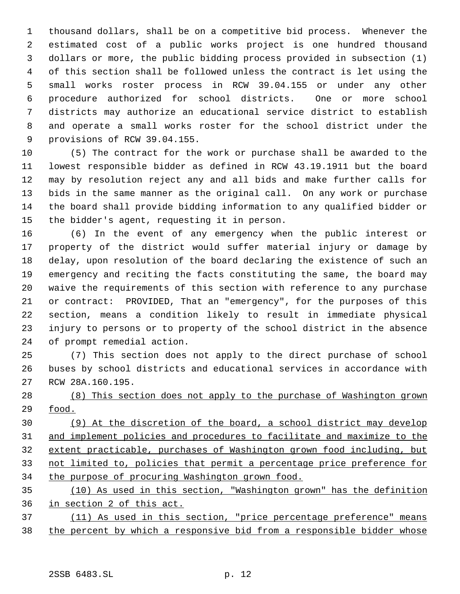thousand dollars, shall be on a competitive bid process. Whenever the estimated cost of a public works project is one hundred thousand dollars or more, the public bidding process provided in subsection (1) of this section shall be followed unless the contract is let using the small works roster process in RCW 39.04.155 or under any other procedure authorized for school districts. One or more school districts may authorize an educational service district to establish and operate a small works roster for the school district under the provisions of RCW 39.04.155.

 (5) The contract for the work or purchase shall be awarded to the lowest responsible bidder as defined in RCW 43.19.1911 but the board may by resolution reject any and all bids and make further calls for bids in the same manner as the original call. On any work or purchase the board shall provide bidding information to any qualified bidder or the bidder's agent, requesting it in person.

 (6) In the event of any emergency when the public interest or property of the district would suffer material injury or damage by delay, upon resolution of the board declaring the existence of such an emergency and reciting the facts constituting the same, the board may waive the requirements of this section with reference to any purchase or contract: PROVIDED, That an "emergency", for the purposes of this section, means a condition likely to result in immediate physical injury to persons or to property of the school district in the absence of prompt remedial action.

 (7) This section does not apply to the direct purchase of school buses by school districts and educational services in accordance with RCW 28A.160.195.

 (8) This section does not apply to the purchase of Washington grown food.

 (9) At the discretion of the board, a school district may develop and implement policies and procedures to facilitate and maximize to the extent practicable, purchases of Washington grown food including, but not limited to, policies that permit a percentage price preference for the purpose of procuring Washington grown food.

 (10) As used in this section, "Washington grown" has the definition in section 2 of this act.

 (11) As used in this section, "price percentage preference" means 38 the percent by which a responsive bid from a responsible bidder whose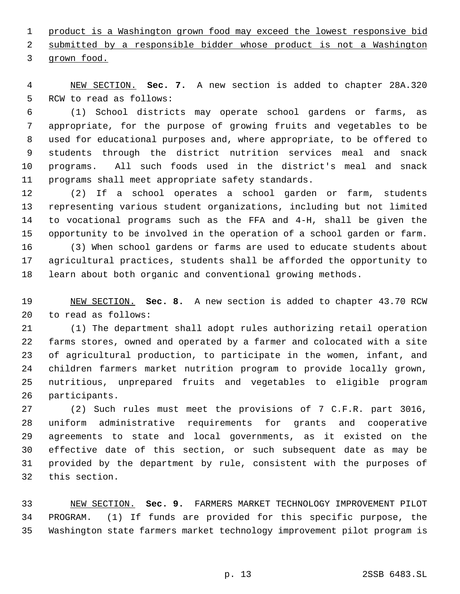product is a Washington grown food may exceed the lowest responsive bid submitted by a responsible bidder whose product is not a Washington grown food.

 NEW SECTION. **Sec. 7.** A new section is added to chapter 28A.320 RCW to read as follows:

 (1) School districts may operate school gardens or farms, as appropriate, for the purpose of growing fruits and vegetables to be used for educational purposes and, where appropriate, to be offered to students through the district nutrition services meal and snack programs. All such foods used in the district's meal and snack programs shall meet appropriate safety standards.

 (2) If a school operates a school garden or farm, students representing various student organizations, including but not limited to vocational programs such as the FFA and 4-H, shall be given the opportunity to be involved in the operation of a school garden or farm. (3) When school gardens or farms are used to educate students about

 agricultural practices, students shall be afforded the opportunity to learn about both organic and conventional growing methods.

 NEW SECTION. **Sec. 8.** A new section is added to chapter 43.70 RCW to read as follows:

 (1) The department shall adopt rules authorizing retail operation farms stores, owned and operated by a farmer and colocated with a site of agricultural production, to participate in the women, infant, and children farmers market nutrition program to provide locally grown, nutritious, unprepared fruits and vegetables to eligible program participants.

 (2) Such rules must meet the provisions of 7 C.F.R. part 3016, uniform administrative requirements for grants and cooperative agreements to state and local governments, as it existed on the effective date of this section, or such subsequent date as may be provided by the department by rule, consistent with the purposes of this section.

 NEW SECTION. **Sec. 9.** FARMERS MARKET TECHNOLOGY IMPROVEMENT PILOT PROGRAM. (1) If funds are provided for this specific purpose, the Washington state farmers market technology improvement pilot program is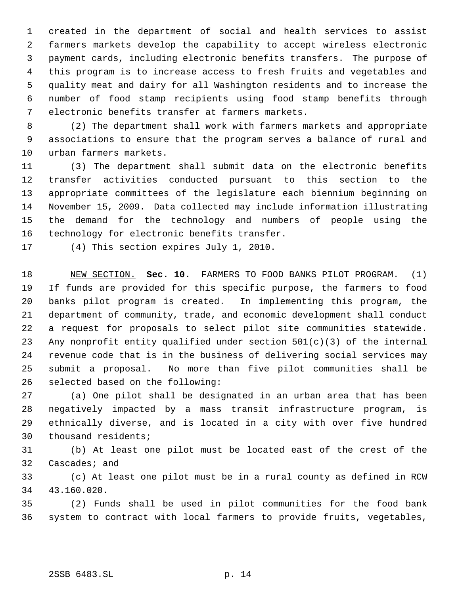created in the department of social and health services to assist farmers markets develop the capability to accept wireless electronic payment cards, including electronic benefits transfers. The purpose of this program is to increase access to fresh fruits and vegetables and quality meat and dairy for all Washington residents and to increase the number of food stamp recipients using food stamp benefits through electronic benefits transfer at farmers markets.

 (2) The department shall work with farmers markets and appropriate associations to ensure that the program serves a balance of rural and urban farmers markets.

 (3) The department shall submit data on the electronic benefits transfer activities conducted pursuant to this section to the appropriate committees of the legislature each biennium beginning on November 15, 2009. Data collected may include information illustrating the demand for the technology and numbers of people using the technology for electronic benefits transfer.

(4) This section expires July 1, 2010.

 NEW SECTION. **Sec. 10.** FARMERS TO FOOD BANKS PILOT PROGRAM. (1) If funds are provided for this specific purpose, the farmers to food banks pilot program is created. In implementing this program, the department of community, trade, and economic development shall conduct a request for proposals to select pilot site communities statewide. Any nonprofit entity qualified under section 501(c)(3) of the internal revenue code that is in the business of delivering social services may submit a proposal. No more than five pilot communities shall be selected based on the following:

 (a) One pilot shall be designated in an urban area that has been negatively impacted by a mass transit infrastructure program, is ethnically diverse, and is located in a city with over five hundred thousand residents;

 (b) At least one pilot must be located east of the crest of the Cascades; and

 (c) At least one pilot must be in a rural county as defined in RCW 43.160.020.

 (2) Funds shall be used in pilot communities for the food bank system to contract with local farmers to provide fruits, vegetables,